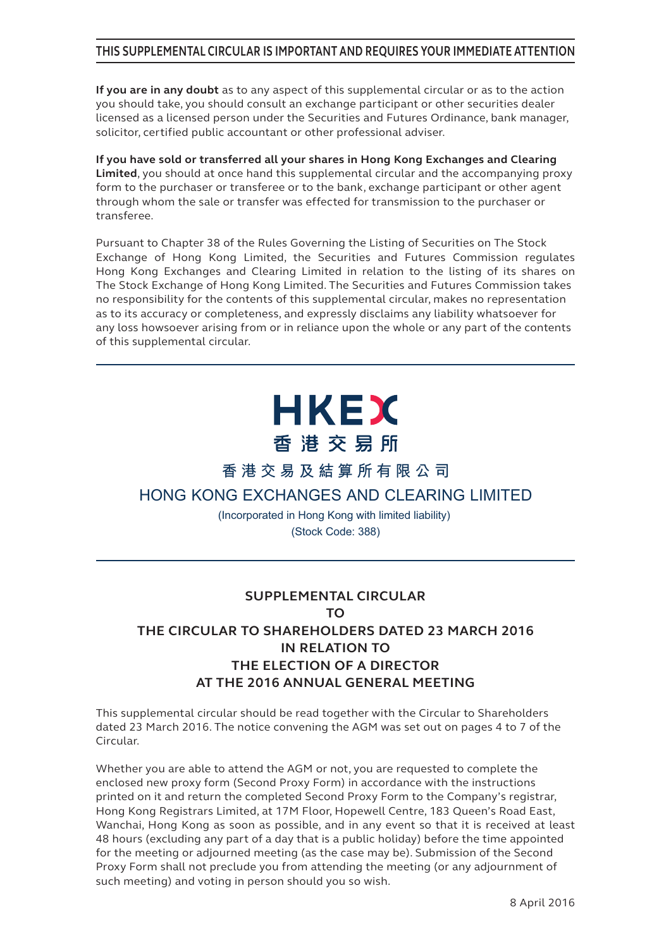#### **THIS SUPPLEMENTAL CIRCULAR IS IMPORTANT AND REQUIRES YOUR IMMEDIATE ATTENTION**

**If you are in any doubt** as to any aspect of this supplemental circular or as to the action you should take, you should consult an exchange participant or other securities dealer licensed as a licensed person under the Securities and Futures Ordinance, bank manager, solicitor, certified public accountant or other professional adviser.

**If you have sold or transferred all your shares in Hong Kong Exchanges and Clearing Limited**, you should at once hand this supplemental circular and the accompanying proxy form to the purchaser or transferee or to the bank, exchange participant or other agent through whom the sale or transfer was effected for transmission to the purchaser or transferee.

Pursuant to Chapter 38 of the Rules Governing the Listing of Securities on The Stock Exchange of Hong Kong Limited, the Securities and Futures Commission regulates Hong Kong Exchanges and Clearing Limited in relation to the listing of its shares on The Stock Exchange of Hong Kong Limited. The Securities and Futures Commission takes no responsibility for the contents of this supplemental circular, makes no representation as to its accuracy or completeness, and expressly disclaims any liability whatsoever for any loss howsoever arising from or in reliance upon the whole or any part of the contents of this supplemental circular.

# **HKEX** 香港交易所

**香港交易及結算所有限公司**

## **HONG KONG EXCHANGES AND CLEARING LIMITED**

(Incorporated in Hong Kong with limited liability) (Stock Code: 388)

## **SUPPLEMENTAL CIRCULAR TO THE CIRCULAR TO SHAREHOLDERS DATED 23 MARCH 2016 IN RELATION TO THE ELECTION OF A DIRECTOR AT THE 2016 ANNUAL GENERAL MEETING**

This supplemental circular should be read together with the Circular to Shareholders dated 23 March 2016. The notice convening the AGM was set out on pages 4 to 7 of the Circular.

Whether you are able to attend the AGM or not, you are requested to complete the enclosed new proxy form (Second Proxy Form) in accordance with the instructions printed on it and return the completed Second Proxy Form to the Company's registrar, Hong Kong Registrars Limited, at 17M Floor, Hopewell Centre, 183 Queen's Road East, Wanchai, Hong Kong as soon as possible, and in any event so that it is received at least 48 hours (excluding any part of a day that is a public holiday) before the time appointed for the meeting or adjourned meeting (as the case may be). Submission of the Second Proxy Form shall not preclude you from attending the meeting (or any adjournment of such meeting) and voting in person should you so wish.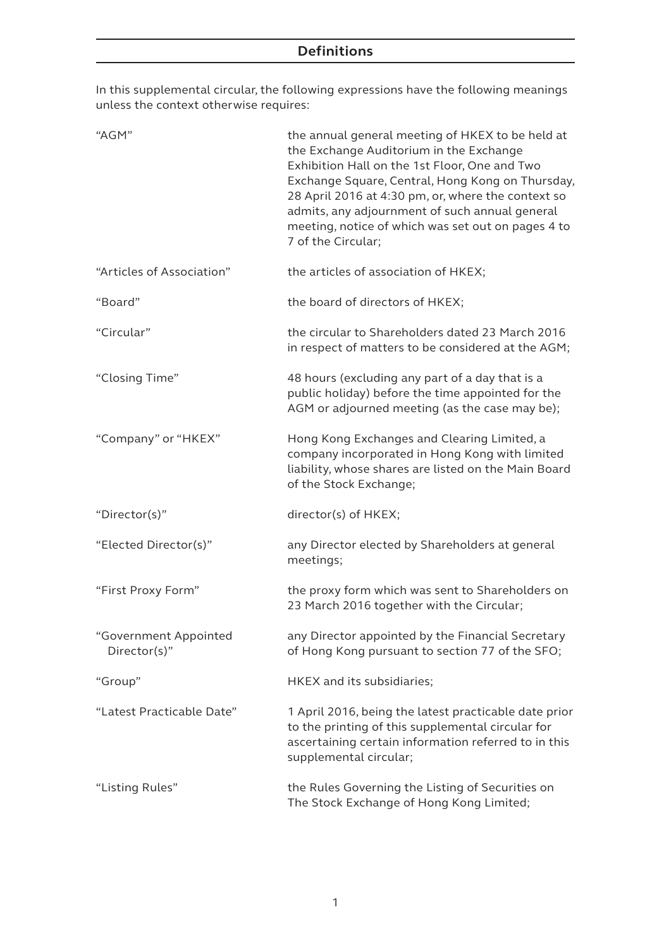In this supplemental circular, the following expressions have the following meanings unless the context otherwise requires:

| "AGM"                                 | the annual general meeting of HKEX to be held at<br>the Exchange Auditorium in the Exchange<br>Exhibition Hall on the 1st Floor, One and Two<br>Exchange Square, Central, Hong Kong on Thursday,<br>28 April 2016 at 4:30 pm, or, where the context so<br>admits, any adjournment of such annual general<br>meeting, notice of which was set out on pages 4 to<br>7 of the Circular; |
|---------------------------------------|--------------------------------------------------------------------------------------------------------------------------------------------------------------------------------------------------------------------------------------------------------------------------------------------------------------------------------------------------------------------------------------|
| "Articles of Association"             | the articles of association of HKEX;                                                                                                                                                                                                                                                                                                                                                 |
| "Board"                               | the board of directors of HKEX;                                                                                                                                                                                                                                                                                                                                                      |
| "Circular"                            | the circular to Shareholders dated 23 March 2016<br>in respect of matters to be considered at the AGM;                                                                                                                                                                                                                                                                               |
| "Closing Time"                        | 48 hours (excluding any part of a day that is a<br>public holiday) before the time appointed for the<br>AGM or adjourned meeting (as the case may be);                                                                                                                                                                                                                               |
| "Company" or "HKEX"                   | Hong Kong Exchanges and Clearing Limited, a<br>company incorporated in Hong Kong with limited<br>liability, whose shares are listed on the Main Board<br>of the Stock Exchange;                                                                                                                                                                                                      |
| "Director(s)"                         | director(s) of HKEX;                                                                                                                                                                                                                                                                                                                                                                 |
| "Elected Director(s)"                 | any Director elected by Shareholders at general<br>meetings;                                                                                                                                                                                                                                                                                                                         |
| "First Proxy Form"                    | the proxy form which was sent to Shareholders on<br>23 March 2016 together with the Circular;                                                                                                                                                                                                                                                                                        |
| "Government Appointed<br>Director(s)" | any Director appointed by the Financial Secretary<br>of Hong Kong pursuant to section 77 of the SFO;                                                                                                                                                                                                                                                                                 |
| "Group"                               | HKEX and its subsidiaries;                                                                                                                                                                                                                                                                                                                                                           |
| "Latest Practicable Date"             | 1 April 2016, being the latest practicable date prior<br>to the printing of this supplemental circular for<br>ascertaining certain information referred to in this<br>supplemental circular;                                                                                                                                                                                         |
| "Listing Rules"                       | the Rules Governing the Listing of Securities on<br>The Stock Exchange of Hong Kong Limited;                                                                                                                                                                                                                                                                                         |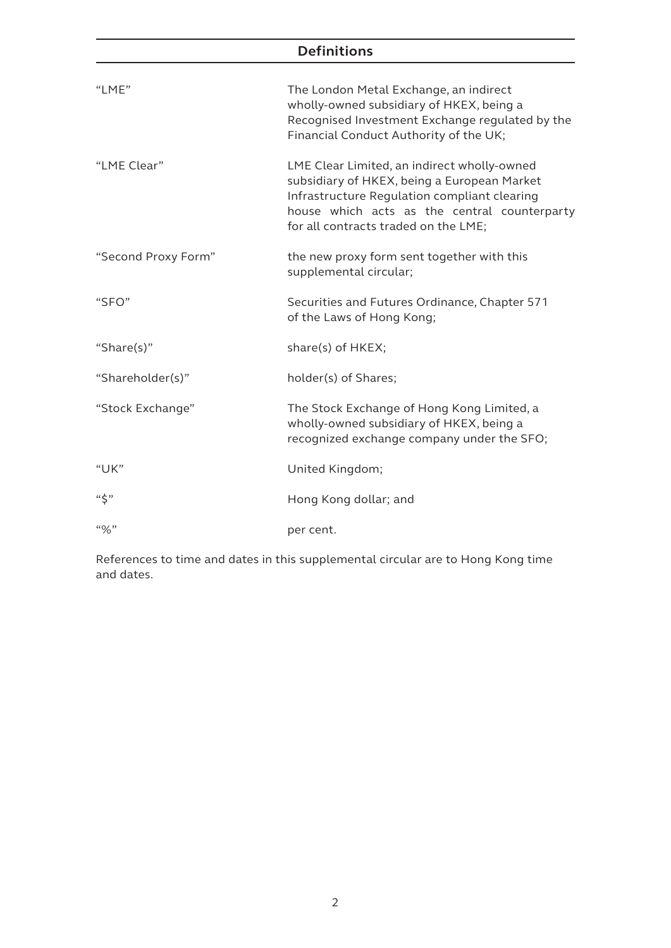# **Definitions**

| "LME"               | The London Metal Exchange, an indirect<br>wholly-owned subsidiary of HKEX, being a<br>Recognised Investment Exchange regulated by the<br>Financial Conduct Authority of the UK;                                                    |
|---------------------|------------------------------------------------------------------------------------------------------------------------------------------------------------------------------------------------------------------------------------|
| "LME Clear"         | LME Clear Limited, an indirect wholly-owned<br>subsidiary of HKEX, being a European Market<br>Infrastructure Regulation compliant clearing<br>house which acts as the central counterparty<br>for all contracts traded on the LME; |
| "Second Proxy Form" | the new proxy form sent together with this<br>supplemental circular;                                                                                                                                                               |
| "SFO"               | Securities and Futures Ordinance, Chapter 571<br>of the Laws of Hong Kong;                                                                                                                                                         |
| "Share(s)"          | share(s) of HKEX;                                                                                                                                                                                                                  |
| "Shareholder(s)"    | holder(s) of Shares;                                                                                                                                                                                                               |
| "Stock Exchange"    | The Stock Exchange of Hong Kong Limited, a<br>wholly-owned subsidiary of HKEX, being a<br>recognized exchange company under the SFO;                                                                                               |
| "UK"                | United Kingdom;                                                                                                                                                                                                                    |
| $``\zeta"$          | Hong Kong dollar; and                                                                                                                                                                                                              |
| $``\%"$             | per cent.                                                                                                                                                                                                                          |

References to time and dates in this supplemental circular are to Hong Kong time and dates.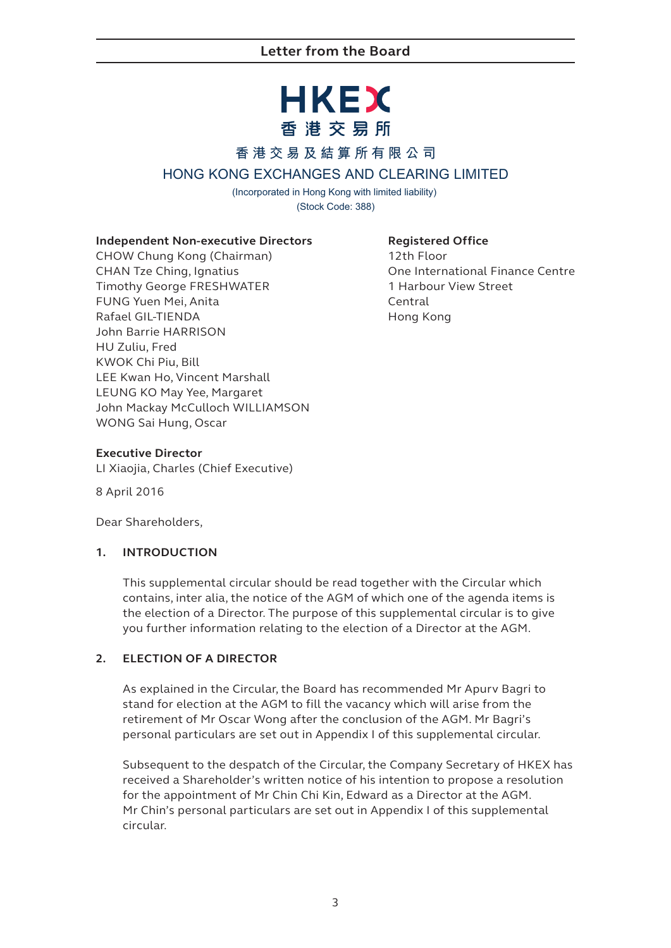# **HKEX** 香港交易所

### **香港交易及結算所有限公司**

### **HONG KONG EXCHANGES AND CLEARING LIMITED**

(Incorporated in Hong Kong with limited liability) (Stock Code: 388)

#### **Independent Non-executive Directors**

CHOW Chung Kong (Chairman) CHAN Tze Ching, Ignatius Timothy George FRESHWATER FUNG Yuen Mei, Anita Rafael GIL-TIENDA John Barrie HARRISON HU Zuliu, Fred KWOK Chi Piu, Bill LEE Kwan Ho, Vincent Marshall LEUNG KO May Yee, Margaret John Mackay McCulloch WILLIAMSON WONG Sai Hung, Oscar

#### **Registered Office**

12th Floor One International Finance Centre 1 Harbour View Street Central Hong Kong

#### **Executive Director**

LI Xiaojia, Charles (Chief Executive)

8 April 2016

Dear Shareholders,

#### **1. INTRODUCTION**

This supplemental circular should be read together with the Circular which contains, inter alia, the notice of the AGM of which one of the agenda items is the election of a Director. The purpose of this supplemental circular is to give you further information relating to the election of a Director at the AGM.

#### **2. ELECTION OF A DIRECTOR**

As explained in the Circular, the Board has recommended Mr Apurv Bagri to stand for election at the AGM to fill the vacancy which will arise from the retirement of Mr Oscar Wong after the conclusion of the AGM. Mr Bagri's personal particulars are set out in Appendix I of this supplemental circular.

Subsequent to the despatch of the Circular, the Company Secretary of HKEX has received a Shareholder's written notice of his intention to propose a resolution for the appointment of Mr Chin Chi Kin, Edward as a Director at the AGM. Mr Chin's personal particulars are set out in Appendix I of this supplemental circular.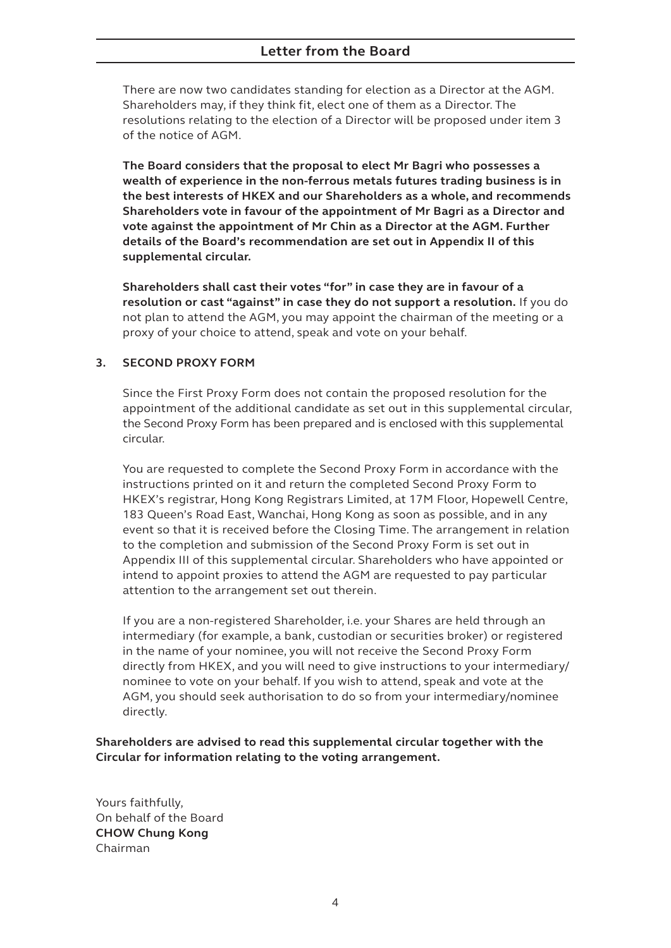#### **Letter from the Board**

There are now two candidates standing for election as a Director at the AGM. Shareholders may, if they think fit, elect one of them as a Director. The resolutions relating to the election of a Director will be proposed under item 3 of the notice of AGM.

**The Board considers that the proposal to elect Mr Bagri who possesses a wealth of experience in the non-ferrous metals futures trading business is in the best interests of HKEX and our Shareholders as a whole, and recommends Shareholders vote in favour of the appointment of Mr Bagri as a Director and vote against the appointment of Mr Chin as a Director at the AGM. Further details of the Board's recommendation are set out in Appendix II of this supplemental circular.**

**Shareholders shall cast their votes "for" in case they are in favour of a resolution or cast "against" in case they do not support a resolution.** If you do not plan to attend the AGM, you may appoint the chairman of the meeting or a proxy of your choice to attend, speak and vote on your behalf.

#### **3. SECOND PROXY FORM**

Since the First Proxy Form does not contain the proposed resolution for the appointment of the additional candidate as set out in this supplemental circular, the Second Proxy Form has been prepared and is enclosed with this supplemental circular.

You are requested to complete the Second Proxy Form in accordance with the instructions printed on it and return the completed Second Proxy Form to HKEX's registrar, Hong Kong Registrars Limited, at 17M Floor, Hopewell Centre, 183 Queen's Road East, Wanchai, Hong Kong as soon as possible, and in any event so that it is received before the Closing Time. The arrangement in relation to the completion and submission of the Second Proxy Form is set out in Appendix III of this supplemental circular. Shareholders who have appointed or intend to appoint proxies to attend the AGM are requested to pay particular attention to the arrangement set out therein.

If you are a non-registered Shareholder, i.e. your Shares are held through an intermediary (for example, a bank, custodian or securities broker) or registered in the name of your nominee, you will not receive the Second Proxy Form directly from HKEX, and you will need to give instructions to your intermediary/ nominee to vote on your behalf. If you wish to attend, speak and vote at the AGM, you should seek authorisation to do so from your intermediary/nominee directly.

**Shareholders are advised to read this supplemental circular together with the Circular for information relating to the voting arrangement.**

Yours faithfully, On behalf of the Board **CHOW Chung Kong** Chairman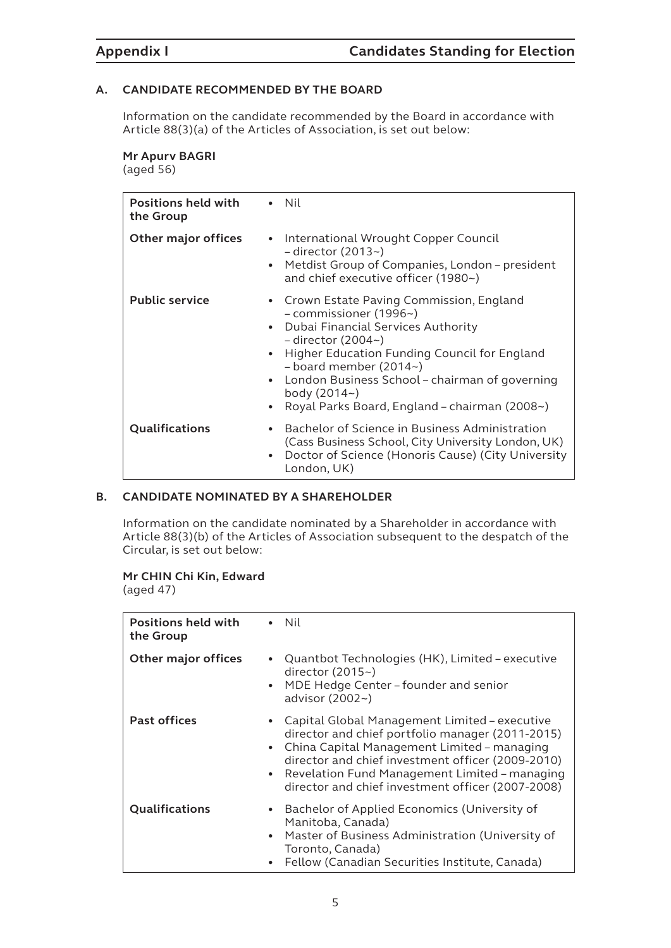#### **A. CANDIDATE RECOMMENDED BY THE BOARD**

Information on the candidate recommended by the Board in accordance with Article 88(3)(a) of the Articles of Association, is set out below:

#### **Mr Apurv BAGRI**

(aged 56)

| <b>Positions held with</b><br>the Group |                                     | $\bullet$ Nil                                                                                                                                                                                                                                                                                                                                    |
|-----------------------------------------|-------------------------------------|--------------------------------------------------------------------------------------------------------------------------------------------------------------------------------------------------------------------------------------------------------------------------------------------------------------------------------------------------|
| Other major offices                     | $\bullet$<br>$\bullet$              | International Wrought Copper Council<br>$-$ director (2013~)<br>Metdist Group of Companies, London – president<br>and chief executive officer (1980~)                                                                                                                                                                                            |
| <b>Public service</b>                   | $\bullet$<br>$\bullet$<br>$\bullet$ | • Crown Estate Paving Commission, England<br>- commissioner (1996~)<br>Dubai Financial Services Authority<br>$-$ director (2004 $\sim$ )<br>Higher Education Funding Council for England<br>$-$ board member (2014 $\sim$ )<br>• London Business School – chairman of governing<br>body (2014~)<br>Royal Parks Board, England - chairman (2008~) |
| Qualifications                          | $\bullet$<br>$\bullet$              | Bachelor of Science in Business Administration<br>(Cass Business School, City University London, UK)<br>Doctor of Science (Honoris Cause) (City University<br>London, UK)                                                                                                                                                                        |

#### **B. CANDIDATE NOMINATED BY A SHAREHOLDER**

Information on the candidate nominated by a Shareholder in accordance with Article 88(3)(b) of the Articles of Association subsequent to the despatch of the Circular, is set out below:

#### **Mr CHIN Chi Kin, Edward**

(aged 47)

| <b>Positions held with</b><br>the Group |                        | $\bullet$ Nil                                                                                                                                                                                                                                                                                               |
|-----------------------------------------|------------------------|-------------------------------------------------------------------------------------------------------------------------------------------------------------------------------------------------------------------------------------------------------------------------------------------------------------|
| <b>Other major offices</b>              | $\bullet$<br>$\bullet$ | Quantbot Technologies (HK), Limited - executive<br>director $(2015-)$<br>MDE Hedge Center - founder and senior<br>advisor $(2002 -)$                                                                                                                                                                        |
| <b>Past offices</b>                     | $\bullet$<br>$\bullet$ | Capital Global Management Limited – executive<br>director and chief portfolio manager (2011-2015)<br>China Capital Management Limited – managing<br>director and chief investment officer (2009-2010)<br>Revelation Fund Management Limited - managing<br>director and chief investment officer (2007-2008) |
| Qualifications                          | $\bullet$<br>$\bullet$ | Bachelor of Applied Economics (University of<br>Manitoba, Canada)<br>Master of Business Administration (University of<br>Toronto, Canada)<br>Fellow (Canadian Securities Institute, Canada)                                                                                                                 |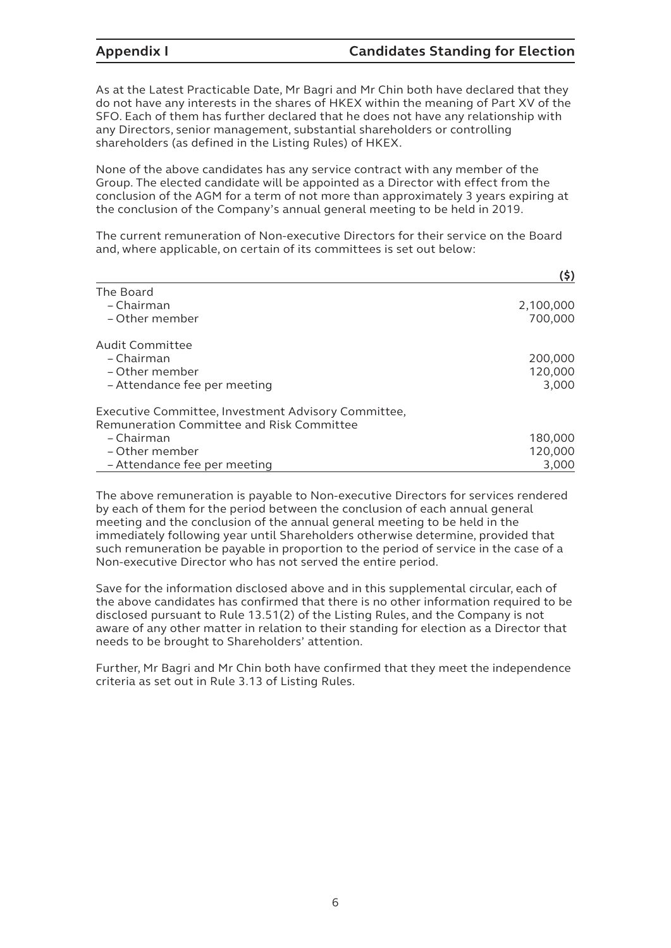As at the Latest Practicable Date, Mr Bagri and Mr Chin both have declared that they do not have any interests in the shares of HKEX within the meaning of Part XV of the SFO. Each of them has further declared that he does not have any relationship with any Directors, senior management, substantial shareholders or controlling shareholders (as defined in the Listing Rules) of HKEX.

None of the above candidates has any service contract with any member of the Group. The elected candidate will be appointed as a Director with effect from the conclusion of the AGM for a term of not more than approximately 3 years expiring at the conclusion of the Company's annual general meeting to be held in 2019.

The current remuneration of Non-executive Directors for their service on the Board and, where applicable, on certain of its committees is set out below:

|                                                     | (5)       |
|-----------------------------------------------------|-----------|
| The Board                                           |           |
| – Chairman                                          | 2,100,000 |
| - Other member                                      | 700,000   |
| Audit Committee                                     |           |
| – Chairman                                          | 200,000   |
| – Other member                                      | 120,000   |
| - Attendance fee per meeting                        | 3,000     |
| Executive Committee, Investment Advisory Committee, |           |
| Remuneration Committee and Risk Committee           |           |
| – Chairman                                          | 180,000   |
| – Other member                                      | 120,000   |
| - Attendance fee per meeting                        | 3.000     |

The above remuneration is payable to Non-executive Directors for services rendered by each of them for the period between the conclusion of each annual general meeting and the conclusion of the annual general meeting to be held in the immediately following year until Shareholders otherwise determine, provided that such remuneration be payable in proportion to the period of service in the case of a Non-executive Director who has not served the entire period.

Save for the information disclosed above and in this supplemental circular, each of the above candidates has confirmed that there is no other information required to be disclosed pursuant to Rule 13.51(2) of the Listing Rules, and the Company is not aware of any other matter in relation to their standing for election as a Director that needs to be brought to Shareholders' attention.

Further, Mr Bagri and Mr Chin both have confirmed that they meet the independence criteria as set out in Rule 3.13 of Listing Rules.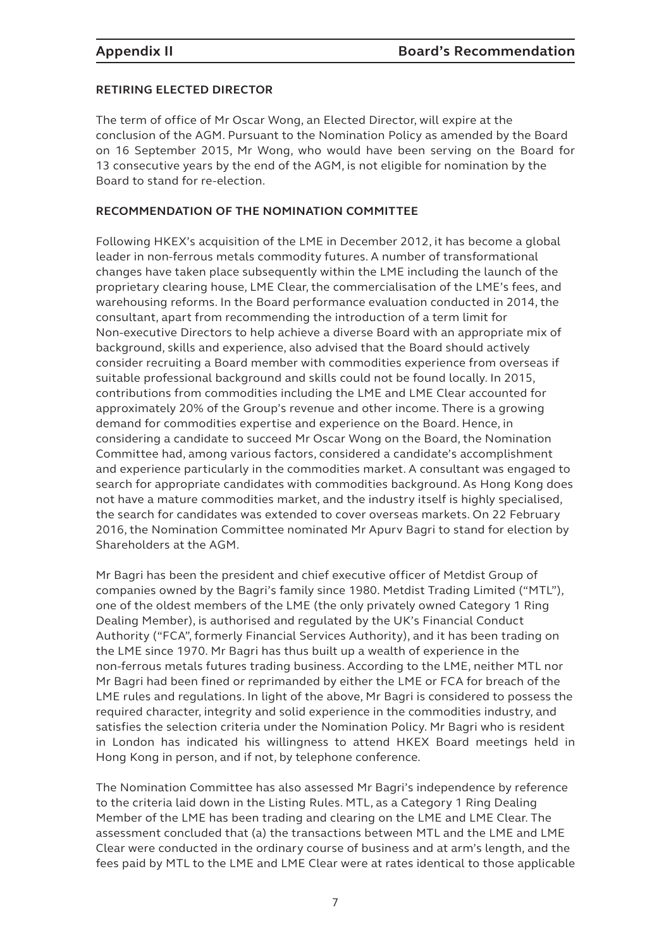#### **RETIRING ELECTED DIRECTOR**

The term of office of Mr Oscar Wong, an Elected Director, will expire at the conclusion of the AGM. Pursuant to the Nomination Policy as amended by the Board on 16 September 2015, Mr Wong, who would have been serving on the Board for 13 consecutive years by the end of the AGM, is not eligible for nomination by the Board to stand for re-election.

#### **RECOMMENDATION OF THE NOMINATION COMMITTEE**

Following HKEX's acquisition of the LME in December 2012, it has become a global leader in non-ferrous metals commodity futures. A number of transformational changes have taken place subsequently within the LME including the launch of the proprietary clearing house, LME Clear, the commercialisation of the LME's fees, and warehousing reforms. In the Board performance evaluation conducted in 2014, the consultant, apart from recommending the introduction of a term limit for Non-executive Directors to help achieve a diverse Board with an appropriate mix of background, skills and experience, also advised that the Board should actively consider recruiting a Board member with commodities experience from overseas if suitable professional background and skills could not be found locally. In 2015, contributions from commodities including the LME and LME Clear accounted for approximately 20% of the Group's revenue and other income. There is a growing demand for commodities expertise and experience on the Board. Hence, in considering a candidate to succeed Mr Oscar Wong on the Board, the Nomination Committee had, among various factors, considered a candidate's accomplishment and experience particularly in the commodities market. A consultant was engaged to search for appropriate candidates with commodities background. As Hong Kong does not have a mature commodities market, and the industry itself is highly specialised, the search for candidates was extended to cover overseas markets. On 22 February 2016, the Nomination Committee nominated Mr Apurv Bagri to stand for election by Shareholders at the AGM.

Mr Bagri has been the president and chief executive officer of Metdist Group of companies owned by the Bagri's family since 1980. Metdist Trading Limited ("MTL"), one of the oldest members of the LME (the only privately owned Category 1 Ring Dealing Member), is authorised and regulated by the UK's Financial Conduct Authority ("FCA", formerly Financial Services Authority), and it has been trading on the LME since 1970. Mr Bagri has thus built up a wealth of experience in the non-ferrous metals futures trading business. According to the LME, neither MTL nor Mr Bagri had been fined or reprimanded by either the LME or FCA for breach of the LME rules and regulations. In light of the above, Mr Bagri is considered to possess the required character, integrity and solid experience in the commodities industry, and satisfies the selection criteria under the Nomination Policy. Mr Bagri who is resident in London has indicated his willingness to attend HKEX Board meetings held in Hong Kong in person, and if not, by telephone conference.

The Nomination Committee has also assessed Mr Bagri's independence by reference to the criteria laid down in the Listing Rules. MTL, as a Category 1 Ring Dealing Member of the LME has been trading and clearing on the LME and LME Clear. The assessment concluded that (a) the transactions between MTL and the LME and LME Clear were conducted in the ordinary course of business and at arm's length, and the fees paid by MTL to the LME and LME Clear were at rates identical to those applicable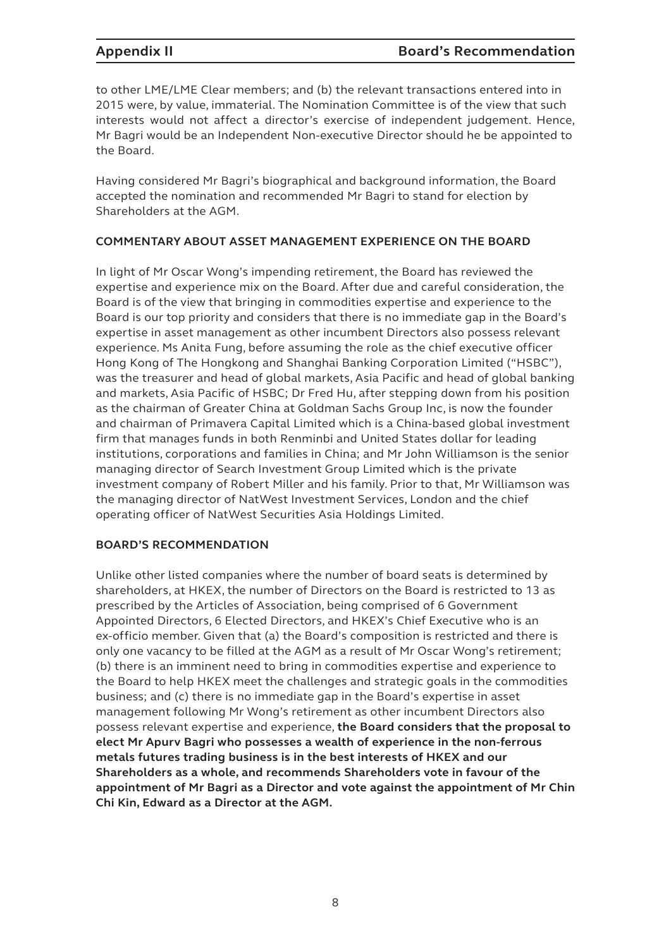to other LME/LME Clear members; and (b) the relevant transactions entered into in 2015 were, by value, immaterial. The Nomination Committee is of the view that such interests would not affect a director's exercise of independent judgement. Hence, Mr Bagri would be an Independent Non-executive Director should he be appointed to the Board.

Having considered Mr Bagri's biographical and background information, the Board accepted the nomination and recommended Mr Bagri to stand for election by Shareholders at the AGM.

#### **COMMENTARY ABOUT ASSET MANAGEMENT EXPERIENCE ON THE BOARD**

In light of Mr Oscar Wong's impending retirement, the Board has reviewed the expertise and experience mix on the Board. After due and careful consideration, the Board is of the view that bringing in commodities expertise and experience to the Board is our top priority and considers that there is no immediate gap in the Board's expertise in asset management as other incumbent Directors also possess relevant experience. Ms Anita Fung, before assuming the role as the chief executive officer Hong Kong of The Hongkong and Shanghai Banking Corporation Limited ("HSBC"), was the treasurer and head of global markets, Asia Pacific and head of global banking and markets, Asia Pacific of HSBC; Dr Fred Hu, after stepping down from his position as the chairman of Greater China at Goldman Sachs Group Inc, is now the founder and chairman of Primavera Capital Limited which is a China-based global investment firm that manages funds in both Renminbi and United States dollar for leading institutions, corporations and families in China; and Mr John Williamson is the senior managing director of Search Investment Group Limited which is the private investment company of Robert Miller and his family. Prior to that, Mr Williamson was the managing director of NatWest Investment Services, London and the chief operating officer of NatWest Securities Asia Holdings Limited.

### **BOARD'S RECOMMENDATION**

Unlike other listed companies where the number of board seats is determined by shareholders, at HKEX, the number of Directors on the Board is restricted to 13 as prescribed by the Articles of Association, being comprised of 6 Government Appointed Directors, 6 Elected Directors, and HKEX's Chief Executive who is an ex-officio member. Given that (a) the Board's composition is restricted and there is only one vacancy to be filled at the AGM as a result of Mr Oscar Wong's retirement; (b) there is an imminent need to bring in commodities expertise and experience to the Board to help HKEX meet the challenges and strategic goals in the commodities business; and (c) there is no immediate gap in the Board's expertise in asset management following Mr Wong's retirement as other incumbent Directors also possess relevant expertise and experience, **the Board considers that the proposal to elect Mr Apurv Bagri who possesses a wealth of experience in the non-ferrous metals futures trading business is in the best interests of HKEX and our Shareholders as a whole, and recommends Shareholders vote in favour of the appointment of Mr Bagri as a Director and vote against the appointment of Mr Chin Chi Kin, Edward as a Director at the AGM.**